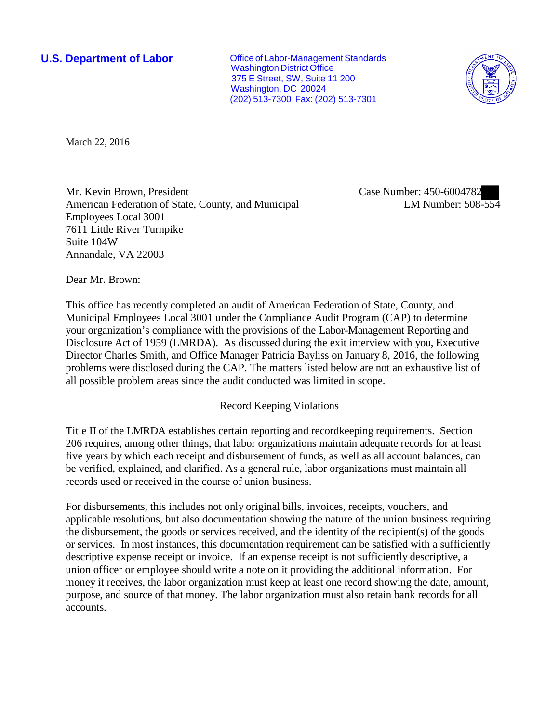**U.S. Department of Labor** Office of Labor-Management Standards Washington District Office 375 E Street, SW, Suite 11 200 Washington, DC 20024 (202) 513-7300 Fax: (202) 513-7301



March 22, 2016

Mr. Kevin Brown, President American Federation of State, County, and Municipal Employees Local 3001 7611 Little River Turnpike Suite 104W Annandale, VA 22003

Case Number: 450-6004782 LM Number: 508-554

Dear Mr. Brown:

This office has recently completed an audit of American Federation of State, County, and Municipal Employees Local 3001 under the Compliance Audit Program (CAP) to determine your organization's compliance with the provisions of the Labor-Management Reporting and Disclosure Act of 1959 (LMRDA). As discussed during the exit interview with you, Executive Director Charles Smith, and Office Manager Patricia Bayliss on January 8, 2016, the following problems were disclosed during the CAP. The matters listed below are not an exhaustive list of all possible problem areas since the audit conducted was limited in scope.

## Record Keeping Violations

Title II of the LMRDA establishes certain reporting and recordkeeping requirements. Section 206 requires, among other things, that labor organizations maintain adequate records for at least five years by which each receipt and disbursement of funds, as well as all account balances, can be verified, explained, and clarified. As a general rule, labor organizations must maintain all records used or received in the course of union business.

For disbursements, this includes not only original bills, invoices, receipts, vouchers, and applicable resolutions, but also documentation showing the nature of the union business requiring the disbursement, the goods or services received, and the identity of the recipient(s) of the goods or services. In most instances, this documentation requirement can be satisfied with a sufficiently descriptive expense receipt or invoice. If an expense receipt is not sufficiently descriptive, a union officer or employee should write a note on it providing the additional information. For money it receives, the labor organization must keep at least one record showing the date, amount, purpose, and source of that money. The labor organization must also retain bank records for all accounts.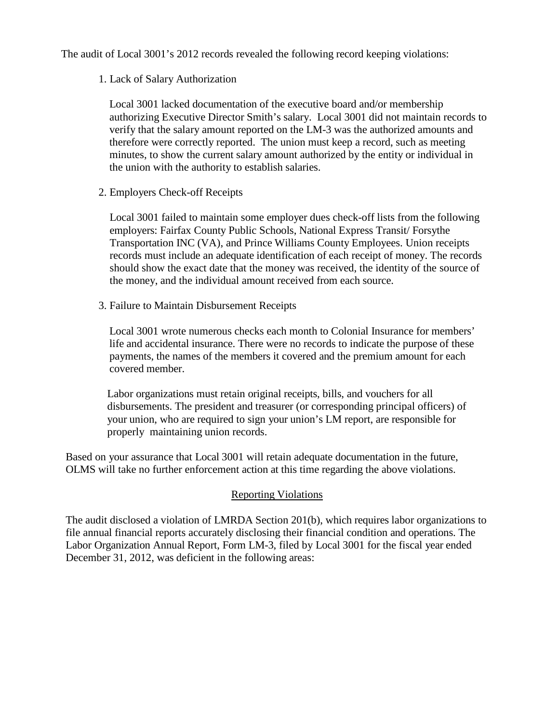The audit of Local 3001's 2012 records revealed the following record keeping violations:

1. Lack of Salary Authorization

Local 3001 lacked documentation of the executive board and/or membership authorizing Executive Director Smith's salary. Local 3001 did not maintain records to verify that the salary amount reported on the LM-3 was the authorized amounts and therefore were correctly reported. The union must keep a record, such as meeting minutes, to show the current salary amount authorized by the entity or individual in the union with the authority to establish salaries.

2. Employers Check-off Receipts

Local 3001 failed to maintain some employer dues check-off lists from the following employers: Fairfax County Public Schools, National Express Transit/ Forsythe Transportation INC (VA), and Prince Williams County Employees. Union receipts records must include an adequate identification of each receipt of money. The records should show the exact date that the money was received, the identity of the source of the money, and the individual amount received from each source.

3. Failure to Maintain Disbursement Receipts

Local 3001 wrote numerous checks each month to Colonial Insurance for members' life and accidental insurance. There were no records to indicate the purpose of these payments, the names of the members it covered and the premium amount for each covered member.

Labor organizations must retain original receipts, bills, and vouchers for all disbursements. The president and treasurer (or corresponding principal officers) of your union, who are required to sign your union's LM report, are responsible for properly maintaining union records.

Based on your assurance that Local 3001 will retain adequate documentation in the future, OLMS will take no further enforcement action at this time regarding the above violations.

## Reporting Violations

The audit disclosed a violation of LMRDA Section 201(b), which requires labor organizations to file annual financial reports accurately disclosing their financial condition and operations. The Labor Organization Annual Report, Form LM-3, filed by Local 3001 for the fiscal year ended December 31, 2012, was deficient in the following areas: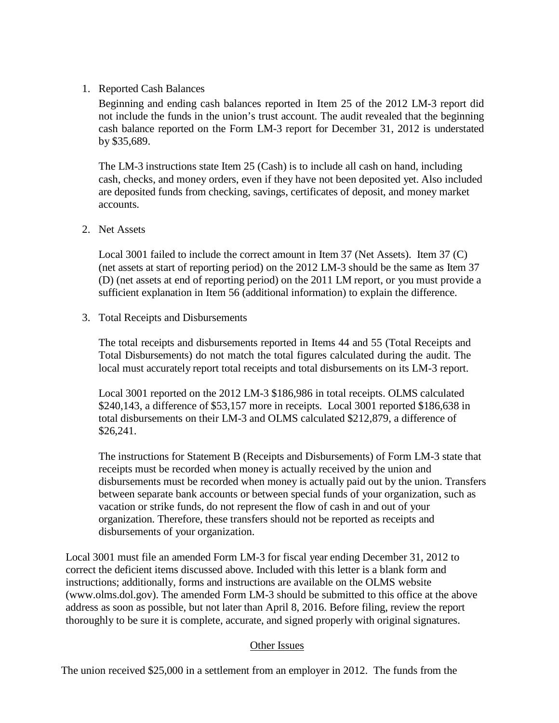1. Reported Cash Balances

Beginning and ending cash balances reported in Item 25 of the 2012 LM-3 report did not include the funds in the union's trust account. The audit revealed that the beginning cash balance reported on the Form LM-3 report for December 31, 2012 is understated by \$35,689.

The LM-3 instructions state Item 25 (Cash) is to include all cash on hand, including cash, checks, and money orders, even if they have not been deposited yet. Also included are deposited funds from checking, savings, certificates of deposit, and money market accounts.

2. Net Assets

Local 3001 failed to include the correct amount in Item 37 (Net Assets). Item 37 (C) (net assets at start of reporting period) on the 2012 LM-3 should be the same as Item 37 (D) (net assets at end of reporting period) on the 2011 LM report, or you must provide a sufficient explanation in Item 56 (additional information) to explain the difference.

3. Total Receipts and Disbursements

The total receipts and disbursements reported in Items 44 and 55 (Total Receipts and Total Disbursements) do not match the total figures calculated during the audit. The local must accurately report total receipts and total disbursements on its LM-3 report.

Local 3001 reported on the 2012 LM-3 \$186,986 in total receipts. OLMS calculated \$240,143, a difference of \$53,157 more in receipts. Local 3001 reported \$186,638 in total disbursements on their LM-3 and OLMS calculated \$212,879, a difference of \$26,241.

The instructions for Statement B (Receipts and Disbursements) of Form LM-3 state that receipts must be recorded when money is actually received by the union and disbursements must be recorded when money is actually paid out by the union. Transfers between separate bank accounts or between special funds of your organization, such as vacation or strike funds, do not represent the flow of cash in and out of your organization. Therefore, these transfers should not be reported as receipts and disbursements of your organization.

Local 3001 must file an amended Form LM-3 for fiscal year ending December 31, 2012 to correct the deficient items discussed above. Included with this letter is a blank form and instructions; additionally, forms and instructions are available on the OLMS website (www.olms.dol.gov). The amended Form LM-3 should be submitted to this office at the above address as soon as possible, but not later than April 8, 2016. Before filing, review the report thoroughly to be sure it is complete, accurate, and signed properly with original signatures.

## Other Issues

The union received \$25,000 in a settlement from an employer in 2012. The funds from the